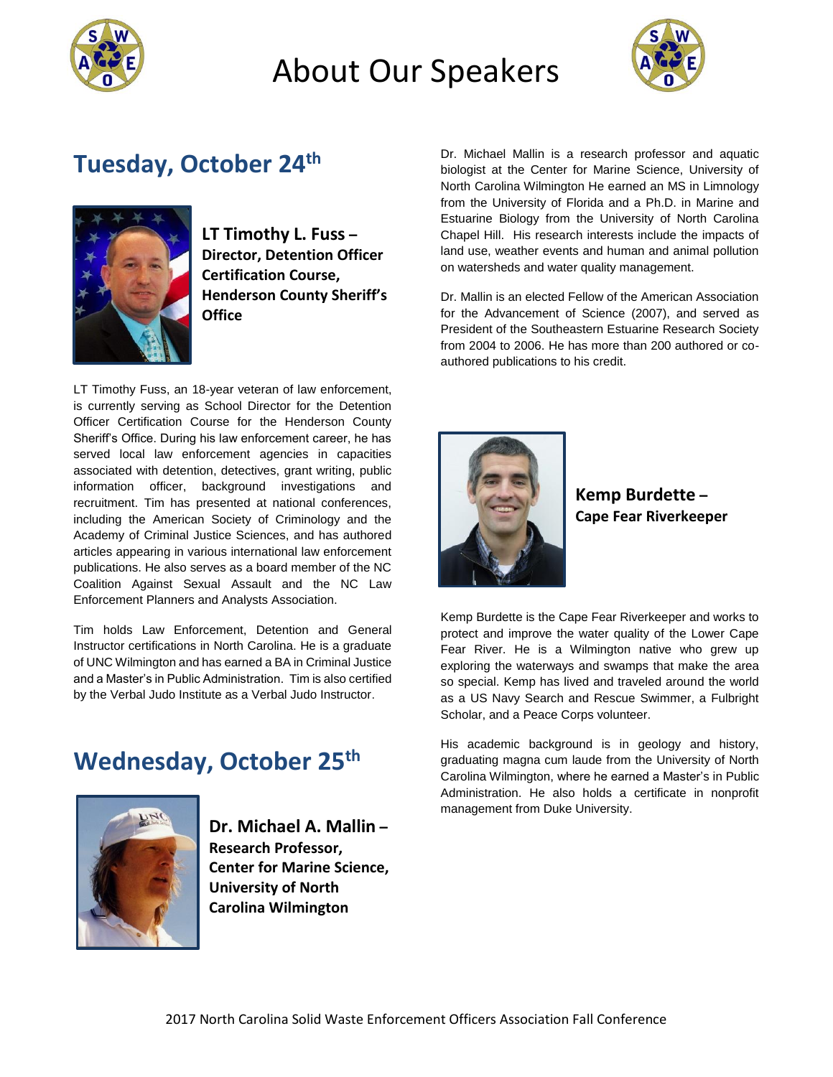



### **Tuesday, October 24 th**



**LT Timothy L. Fuss – Director, Detention Officer Certification Course, Henderson County Sheriff's Office**

LT Timothy Fuss, an 18-year veteran of law enforcement, is currently serving as School Director for the Detention Officer Certification Course for the Henderson County Sheriff's Office. During his law enforcement career, he has served local law enforcement agencies in capacities associated with detention, detectives, grant writing, public information officer, background investigations and recruitment. Tim has presented at national conferences, including the American Society of Criminology and the Academy of Criminal Justice Sciences, and has authored articles appearing in various international law enforcement publications. He also serves as a board member of the NC Coalition Against Sexual Assault and the NC Law Enforcement Planners and Analysts Association.

Tim holds Law Enforcement, Detention and General Instructor certifications in North Carolina. He is a graduate of UNC Wilmington and has earned a BA in Criminal Justice and a Master's in Public Administration. Tim is also certified by the Verbal Judo Institute as a Verbal Judo Instructor.

### **Wednesday, October 25 th**



**Dr. Michael A. Mallin – Research Professor, Center for Marine Science, University of North Carolina Wilmington**

Dr. Michael Mallin is a research professor and aquatic biologist at the Center for Marine Science, University of North Carolina Wilmington He earned an MS in Limnology from the University of Florida and a Ph.D. in Marine and Estuarine Biology from the University of North Carolina Chapel Hill. His research interests include the impacts of land use, weather events and human and animal pollution on watersheds and water quality management.

Dr. Mallin is an elected Fellow of the American Association for the Advancement of Science (2007), and served as President of the Southeastern Estuarine Research Society from 2004 to 2006. He has more than 200 authored or coauthored publications to his credit.



**Kemp Burdette – Cape Fear Riverkeeper**

Kemp Burdette is the Cape Fear Riverkeeper and works to protect and improve the water quality of the Lower Cape Fear River. He is a Wilmington native who grew up exploring the waterways and swamps that make the area so special. Kemp has lived and traveled around the world as a US Navy Search and Rescue Swimmer, a Fulbright Scholar, and a Peace Corps volunteer.

His academic background is in geology and history, graduating magna cum laude from the University of North Carolina Wilmington, where he earned a Master's in Public Administration. He also holds a certificate in nonprofit management from Duke University.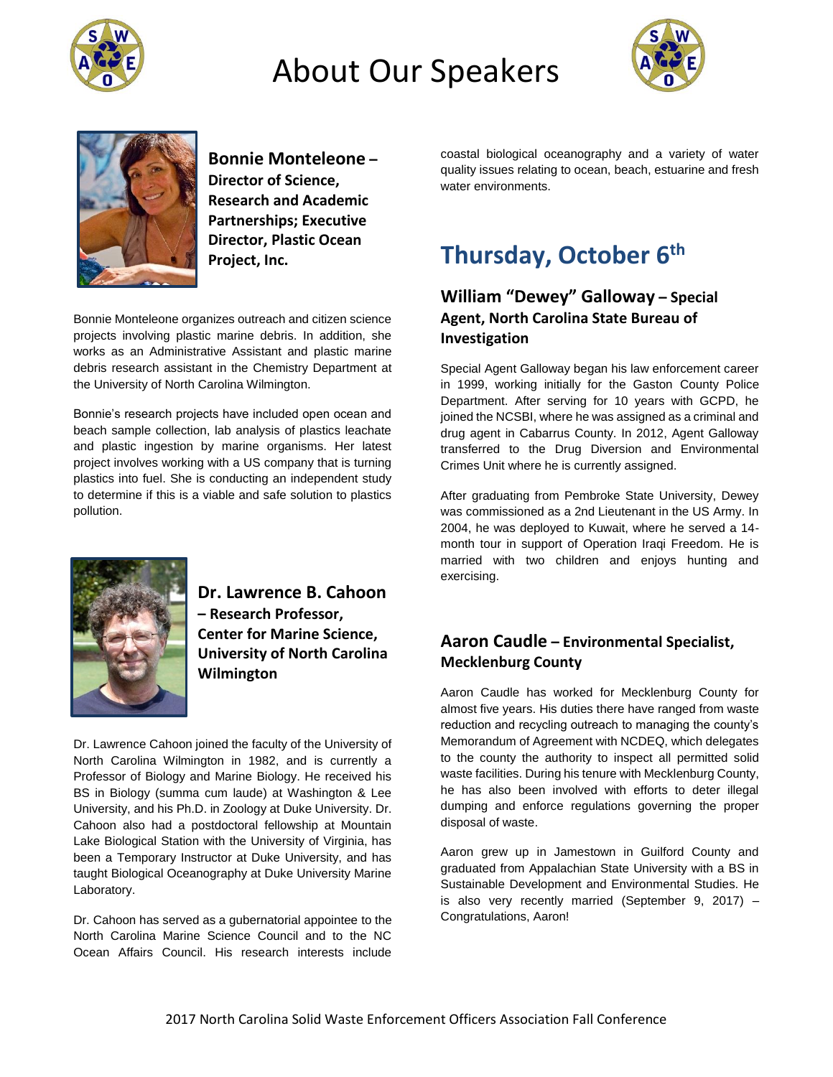





**Bonnie Monteleone – Director of Science, Research and Academic Partnerships; Executive Director, Plastic Ocean Project, Inc.**

Bonnie Monteleone organizes outreach and citizen science projects involving plastic marine debris. In addition, she works as an Administrative Assistant and plastic marine debris research assistant in the Chemistry Department at the University of North Carolina Wilmington.

Bonnie's research projects have included open ocean and beach sample collection, lab analysis of plastics leachate and plastic ingestion by marine organisms. Her latest project involves working with a US company that is turning plastics into fuel. She is conducting an independent study to determine if this is a viable and safe solution to plastics pollution.



**Dr. Lawrence B. Cahoon – Research Professor, Center for Marine Science, University of North Carolina Wilmington**

Dr. Lawrence Cahoon joined the faculty of the University of North Carolina Wilmington in 1982, and is currently a Professor of Biology and Marine Biology. He received his BS in Biology (summa cum laude) at Washington & Lee University, and his Ph.D. in Zoology at Duke University. Dr. Cahoon also had a postdoctoral fellowship at Mountain Lake Biological Station with the University of Virginia, has been a Temporary Instructor at Duke University, and has taught Biological Oceanography at Duke University Marine Laboratory.

Dr. Cahoon has served as a gubernatorial appointee to the North Carolina Marine Science Council and to the NC Ocean Affairs Council. His research interests include

coastal biological oceanography and a variety of water quality issues relating to ocean, beach, estuarine and fresh water environments.

### **Thursday, October 6 th**

#### **William "Dewey" Galloway – Special Agent, North Carolina State Bureau of Investigation**

Special Agent Galloway began his law enforcement career in 1999, working initially for the Gaston County Police Department. After serving for 10 years with GCPD, he joined the NCSBI, where he was assigned as a criminal and drug agent in Cabarrus County. In 2012, Agent Galloway transferred to the Drug Diversion and Environmental Crimes Unit where he is currently assigned.

After graduating from Pembroke State University, Dewey was commissioned as a 2nd Lieutenant in the US Army. In 2004, he was deployed to Kuwait, where he served a 14 month tour in support of Operation Iraqi Freedom. He is married with two children and enjoys hunting and exercising.

#### **Aaron Caudle – Environmental Specialist, Mecklenburg County**

Aaron Caudle has worked for Mecklenburg County for almost five years. His duties there have ranged from waste reduction and recycling outreach to managing the county's Memorandum of Agreement with NCDEQ, which delegates to the county the authority to inspect all permitted solid waste facilities. During his tenure with Mecklenburg County, he has also been involved with efforts to deter illegal dumping and enforce regulations governing the proper disposal of waste.

Aaron grew up in Jamestown in Guilford County and graduated from Appalachian State University with a BS in Sustainable Development and Environmental Studies. He is also very recently married (September 9, 2017) – Congratulations, Aaron!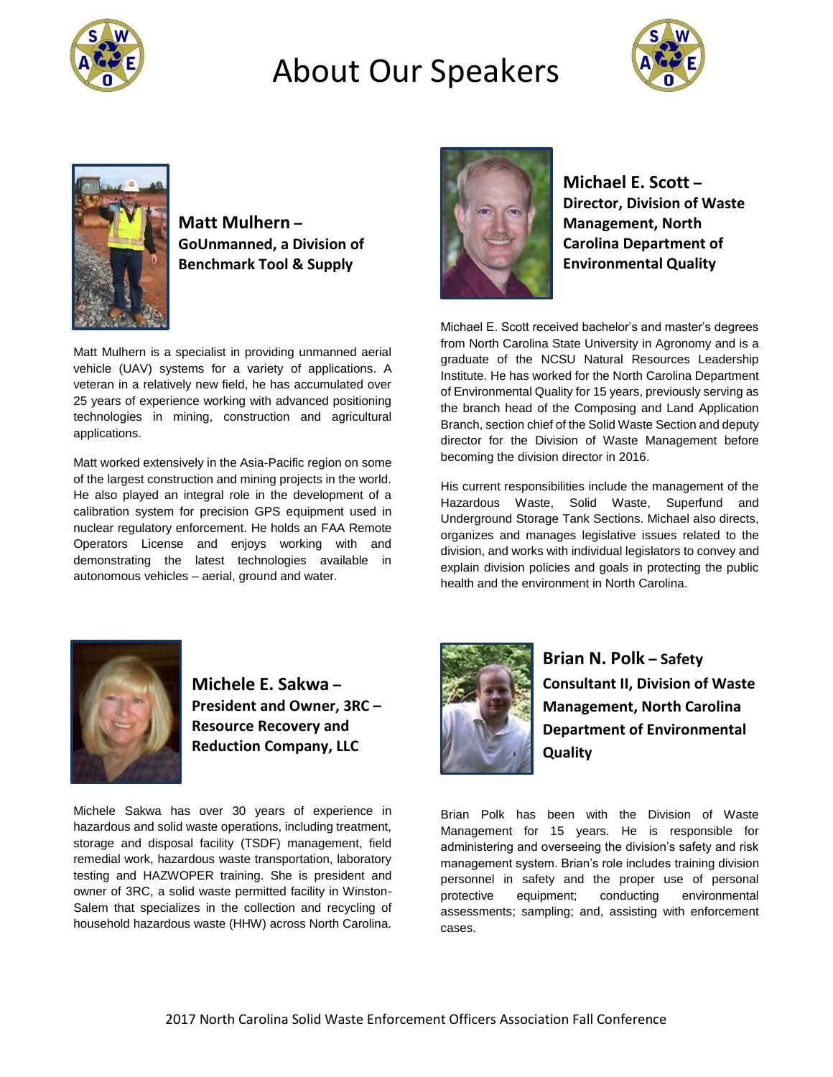





**Matt Mulhern – GoUnmanned, a Division of Benchmark Tool & Supply**

Matt Mulhern is a specialist in providing unmanned aerial vehicle (UAV) systems for a variety of applications. A veteran in a relatively new field, he has accumulated over 25 years of experience working with advanced positioning technologies in mining, construction and agricultural applications.

Matt worked extensively in the Asia-Pacific region on some of the largest construction and mining projects in the world. He also played an integral role in the development of a calibration system for precision GPS equipment used in nuclear regulatory enforcement. He holds an FAA Remote Operators License and enjoys working with and demonstrating the latest technologies available in autonomous vehicles – aerial, ground and water.



**Michael E. Scott – Director, Division of Waste Management, North Carolina Department of Environmental Quality**

Michael E. Scott received bachelor's and master's degrees from North Carolina State University in Agronomy and is a graduate of the NCSU Natural Resources Leadership Institute. He has worked for the North Carolina Department of Environmental Quality for 15 years, previously serving as the branch head of the Composing and Land Application Branch, section chief of the Solid Waste Section and deputy director for the Division of Waste Management before becoming the division director in 2016.

His current responsibilities include the management of the Hazardous Waste, Solid Waste, Superfund and Underground Storage Tank Sections. Michael also directs, organizes and manages legislative issues related to the division, and works with individual legislators to convey and explain division policies and goals in protecting the public health and the environment in North Carolina.



**Michele E. Sakwa – President and Owner, 3RC – Resource Recovery and Reduction Company, LLC**

Michele Sakwa has over 30 years of experience in hazardous and solid waste operations, including treatment, storage and disposal facility (TSDF) management, field remedial work, hazardous waste transportation, laboratory testing and HAZWOPER training. She is president and owner of 3RC, a solid waste permitted facility in Winston-Salem that specializes in the collection and recycling of household hazardous waste (HHW) across North Carolina.



**Brian N. Polk – Safety Consultant II, Division of Waste Management, North Carolina Department of Environmental Quality**

Brian Polk has been with the Division of Waste Management for 15 years. He is responsible for administering and overseeing the division's safety and risk management system. Brian's role includes training division personnel in safety and the proper use of personal protective equipment; conducting environmental assessments; sampling; and, assisting with enforcement cases.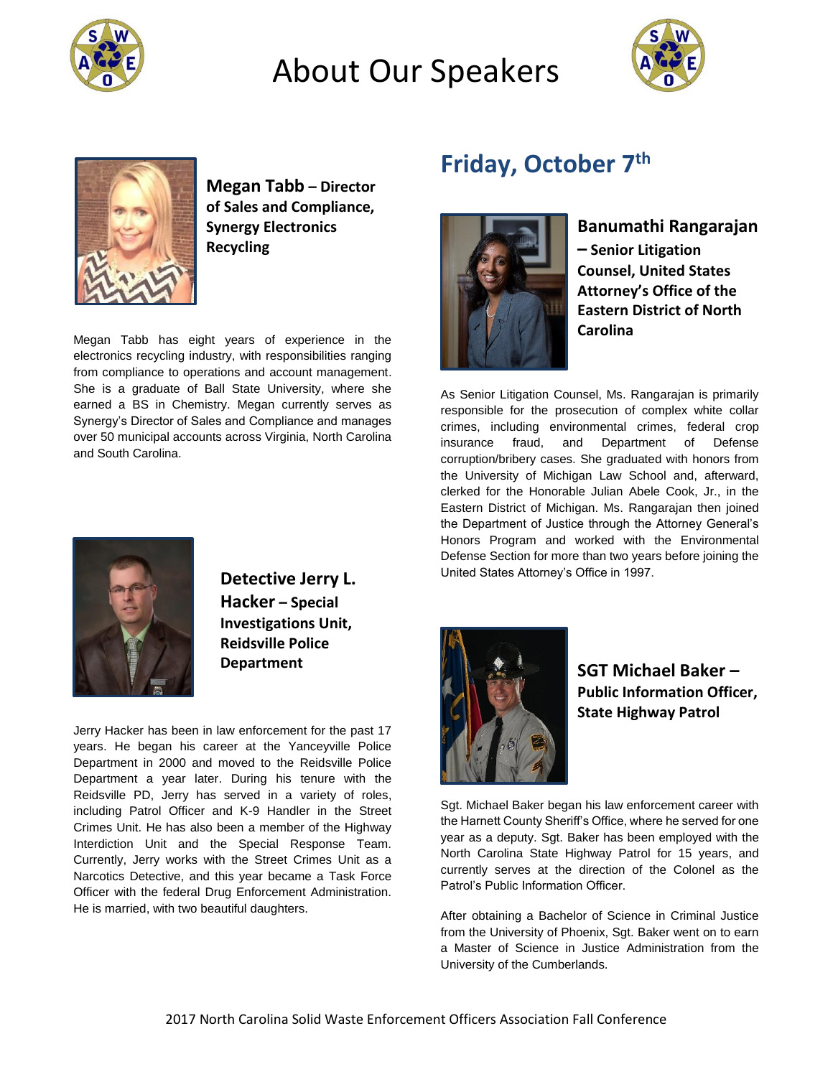





**Megan Tabb – Director of Sales and Compliance, Synergy Electronics Recycling**

Megan Tabb has eight years of experience in the electronics recycling industry, with responsibilities ranging from compliance to operations and account management. She is a graduate of Ball State University, where she earned a BS in Chemistry. Megan currently serves as Synergy's Director of Sales and Compliance and manages over 50 municipal accounts across Virginia, North Carolina and South Carolina.

### **Friday, October 7 th**



**Banumathi Rangarajan – Senior Litigation Counsel, United States Attorney's Office of the Eastern District of North Carolina**

As Senior Litigation Counsel, Ms. Rangarajan is primarily responsible for the prosecution of complex white collar crimes, including environmental crimes, federal crop insurance fraud, and Department of Defense corruption/bribery cases. She graduated with honors from the University of Michigan Law School and, afterward, clerked for the Honorable Julian Abele Cook, Jr., in the Eastern District of Michigan. Ms. Rangarajan then joined the Department of Justice through the Attorney General's Honors Program and worked with the Environmental Defense Section for more than two years before joining the United States Attorney's Office in 1997.



**Detective Jerry L. Hacker – Special Investigations Unit, Reidsville Police Department**

Jerry Hacker has been in law enforcement for the past 17 years. He began his career at the Yanceyville Police Department in 2000 and moved to the Reidsville Police Department a year later. During his tenure with the Reidsville PD, Jerry has served in a variety of roles, including Patrol Officer and K-9 Handler in the Street Crimes Unit. He has also been a member of the Highway Interdiction Unit and the Special Response Team. Currently, Jerry works with the Street Crimes Unit as a Narcotics Detective, and this year became a Task Force Officer with the federal Drug Enforcement Administration. He is married, with two beautiful daughters.



**SGT Michael Baker – Public Information Officer, State Highway Patrol**

Sgt. Michael Baker began his law enforcement career with the Harnett County Sheriff's Office, where he served for one year as a deputy. Sgt. Baker has been employed with the North Carolina State Highway Patrol for 15 years, and currently serves at the direction of the Colonel as the Patrol's Public Information Officer.

After obtaining a Bachelor of Science in Criminal Justice from the University of Phoenix, Sgt. Baker went on to earn a Master of Science in Justice Administration from the University of the Cumberlands.